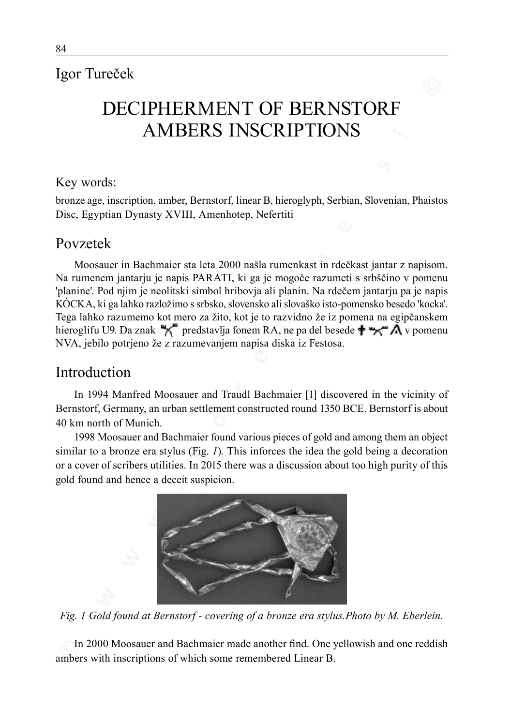# Igor Tureček

# DECIPHERMENT OF BERNSTORF AMBERS INSCRIPTIONS

#### Key words:

bronze age, inscription, amber, Bernstorf, linear B, hieroglyph, Serbian, Slovenian, Phaistos Disc, Egyptian Dynasty XVIII, Amenhotep, Nefertiti

## Povzetek

**EXERCT BERNIFY OF BERNIFY OR BERNIFY OR BERNIFY AMBERS INSCRIPTIONS**<br> **EXERCT AMBERS INSCRIPTIONS**<br> **EXERCT AMBERS INSCRIPTIONS**<br> **EXERCT AMBERS INSCRIPTIONS**<br> **EXERCT AMBERS INTERFECT AND THE CONDITION SURFACT AND CONDIT** Moosauer in Bachmaier sta leta 2000 našla rumenkast in rdečkast jantar z napisom. Na rumenem jantarju je napis PARATI, ki ga je mogoče razumeti s srbščino v pomenu 'planine'. Pod njim je neolitski simbol hribovja ali planin. Na rdečem jantarju pa je napis KÓCKA, ki ga lahko razložimo s srbsko, slovensko ali slovaško isto-pomensko besedo 'kocka'. Tega lahko razumemo kot mero za žito, kot je to razvidno že iz pomena na egipčanskem hieroglifu U9. Da znak "nedstavlja fonem RA, ne pa del besede  $\uparrow$   $\uparrow$   $\uparrow$   $\uparrow$  v pomenu NVA, jebilo potrjeno že z razumevanjem napisa diska iz Festosa.

# Introduction

In 1994 Manfred Moosauer and Traudl Bachmaier [1] discovered in the vicinity of Bernstorf, Germany, an urban settlement constructed round 1350 BCE. Bernstorf is about 40 km north of Munich.

1998 Moosauer and Bachmaier found various pieces of gold and among them an object similar to a bronze era stylus (Fig. *1*). This inforces the idea the gold being a decoration or a cover of scribers utilities. In 2015 there was a discussion about too high purity of this gold found and hence a deceit suspicion.



*Fig. 1 Gold found at Bernstorf - covering of a bronze era stylus.Photo by M. Eberlein.*

In 2000 Moosauer and Bachmaier made another find. One yellowish and one reddish ambers with inscriptions of which some remembered Linear B.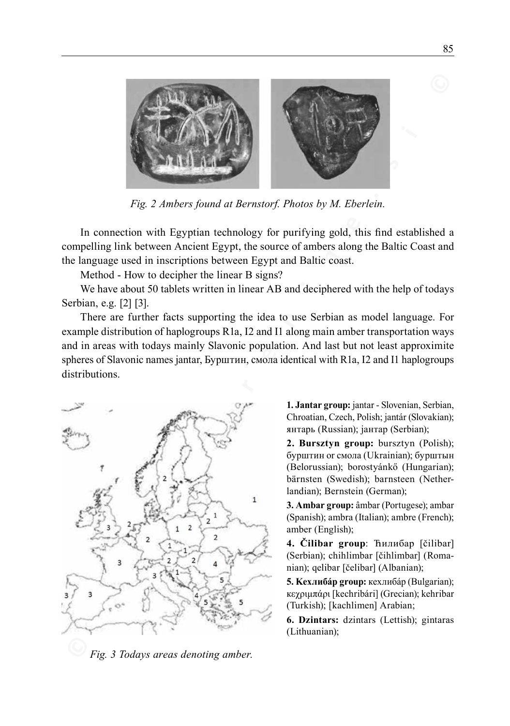

*Fig. 2 Ambers found at Bernstorf. Photos by M. Eberlein.*

In connection with Egyptian technology for purifying gold, this find established a compelling link between Ancient Egypt, the source of ambers along the Baltic Coast and the language used in inscriptions between Egypt and Baltic coast.

Method - How to decipher the linear B signs?

We have about 50 tablets written in linear AB and deciphered with the help of todays Serbian, e.g. [2] [3].

There are further facts supporting the idea to use Serbian as model language. For example distribution of haplogroups R1a, I2 and I1 along main amber transportation ways and in areas with todays mainly Slavonic population. And last but not least approximite spheres of Slavonic names jantar, Бурштин, cмола identical with R1a, I2 and I1 haplogroups distributions.



 *Fig. 3 Todays areas denoting amber.*

**1. Jantar group:** jantar - Slovenian, Serbian, Chroatian, Czech, Polish; jantár (Slovakian); янтaрь (Russian); јантар (Serbian);

**2. Bursztyn group:** bursztyn (Polish); бурштин or смола (Ukrainian); бурштын (Belorussian); borostyánkő (Hungarian); bärnsten (Swedish); barnsteen (Netherlandian); Bernstein (German);

**3. Ambar group:** âmbar (Portugese); ambar (Spanish); ambra (Italian); ambre (French); amber (English);

**4. Čilibar group**: Ћилибар [čilibar] (Serbian); chihlimbar [čihlimbar] (Romanian); qelibar [čelibar] (Albanian);

**5. Kеxлибáр group:** кеxлибáр (Bulgarian); кεχριμπάρι [kechribári] (Grecian); kehribar (Turkish); [kachlimen] Arabian;

**6. Dzintars:** dzintars (Lettish); gintaras (Lithuanian);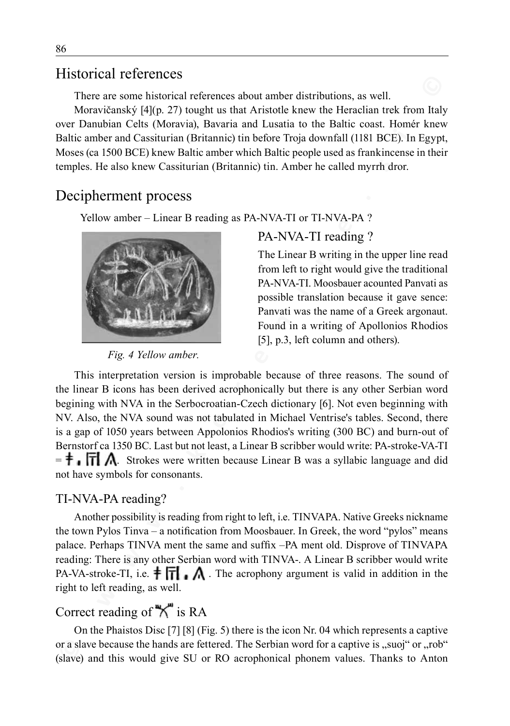# Historical references

There are some historical references about amber distributions, as well.

Moravičanský [4](p. 27) tought us that Aristotle knew the Heraclian trek from Italy over Danubian Celts (Moravia), Bavaria and Lusatia to the Baltic coast. Homér knew Baltic amber and Cassiturian (Britannic) tin before Troja downfall (1181 BCE). In Egypt, Moses (ca 1500 BCE) knew Baltic amber which Baltic people used as frankincense in their temples. He also knew Cassiturian (Britannic) tin. Amber he called myrrh dror.

# Decipherment process

Yellow amber – Linear B reading as PA-NVA-TI or TI-NVA-PA ?



*Fig. 4 Yellow amber.*

## PA-NVA-TI reading ?

The Linear B writing in the upper line read from left to right would give the traditional PA-NVA-TI. Moosbauer acounted Panvati as possible translation because it gave sence: Panvati was the name of a Greek argonaut. Found in a writing of Apollonios Rhodios [5], p.3, left column and others).

**EXECUTE TRENCISED INTERFACT (NOTE)**<br> **Note that the state of the Heriam in the form into the State of Moreovian, by a horizonic state have the Heriam and the Moreovian and Cassiumian (Britannic) tin before Topi downfall** This interpretation version is improbable because of three reasons. The sound of the linear B icons has been derived acrophonically but there is any other Serbian word begining with NVA in the Serbocroatian-Czech dictionary [6]. Not even beginning with NV. Also, the NVA sound was not tabulated in Michael Ventrise's tables. Second, there is a gap of 1050 years between Appolonios Rhodios's writing (300 BC) and burn-out of Bernstorf ca 1350 BC. Last but not least, a Linear B scribber would write: PA-stroke-VA-TI  $=$   $\uparrow$   $\Box$   $\Box$   $\Lambda$ . Strokes were written because Linear B was a syllabic language and did not have symbols for consonants.

### TI-NVA-PA reading?

Another possibility is reading from right to left, i.e. TINVAPA. Native Greeks nickname the town Pylos Tinva – a notification from Moosbauer. In Greek, the word "pylos" means palace. Perhaps TINVA ment the same and suffix –PA ment old. Disprove of TINVAPA reading: There is any other Serbian word with TINVA-. A Linear B scribber would write PA-VA-stroke-TI, i.e.  $\uparrow \Box$   $\wedge$ . The acrophony argument is valid in addition in the right to left reading, as well.

# Correct reading of  $\mathbb{R}^m$  is RA

On the Phaistos Disc [7] [8] (Fig. 5) there is the icon Nr. 04 which represents a captive or a slave because the hands are fettered. The Serbian word for a captive is "suoj" or "rob" (slave) and this would give SU or RO acrophonical phonem values. Thanks to Anton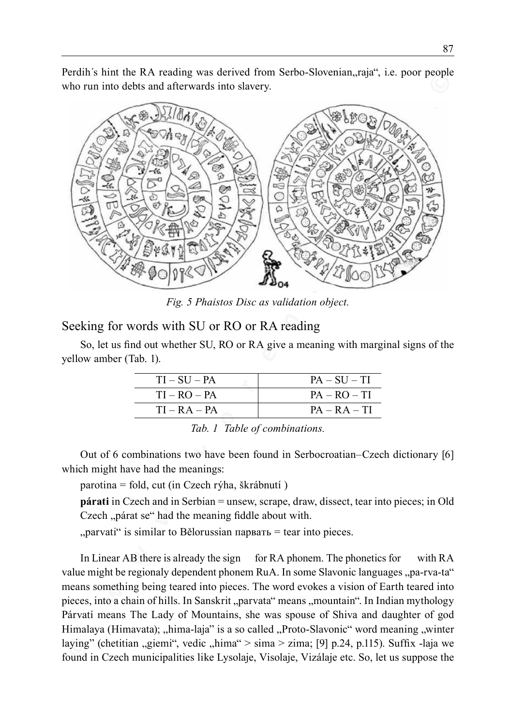Perdih's hint the RA reading was derived from Serbo-Slovenian, raja", i.e. poor people who run into debts and afterwards into slavery.



*Fig. 5 Phaistos Disc as validation object.*

#### Seeking for words with SU or RO or RA reading

So, let us find out whether SU, RO or RA give a meaning with marginal signs of the yellow amber (Tab. 1).

| $TI-SU-PA$     | $PA - SU - TI$ |
|----------------|----------------|
| $TI - RO - PA$ | $PA - RO - TI$ |
| $TI - RA - PA$ | $PA - RA - TI$ |

Out of 6 combinations two have been found in Serbocroatian–Czech dictionary [6] which might have had the meanings:

parotina = fold, cut (in Czech rýha, škrábnutí )

**párati** in Czech and in Serbian = unsew, scrape, draw, dissect, tear into pieces; in Old Czech "párat se" had the meaning fiddle about with.

 $_{\rm p}$  parvati " is similar to Bělorussian парвать = tear into pieces.

In Linear AB there is already the sign for RA phonem. The phonetics for with RA value might be regionaly dependent phonem RuA. In some Slavonic languages ..pa-rva-ta" means something being teared into pieces. The word evokes a vision of Earth teared into pieces, into a chain of hills. In Sanskrit "parvata" means "mountain". In Indian mythology Párvatí means The Lady of Mountains, she was spouse of Shiva and daughter of god Himalaya (Himavata); "hima-laja" is a so called "Proto-Slavonic" word meaning "winter laying" (chetitian "giemi", vedic "hima" > sima > zima; [9] p.24, p.115). Suffix -laja we found in Czech municipalities like Lysolaje, Visolaje, Vizálaje etc. So, let us suppose the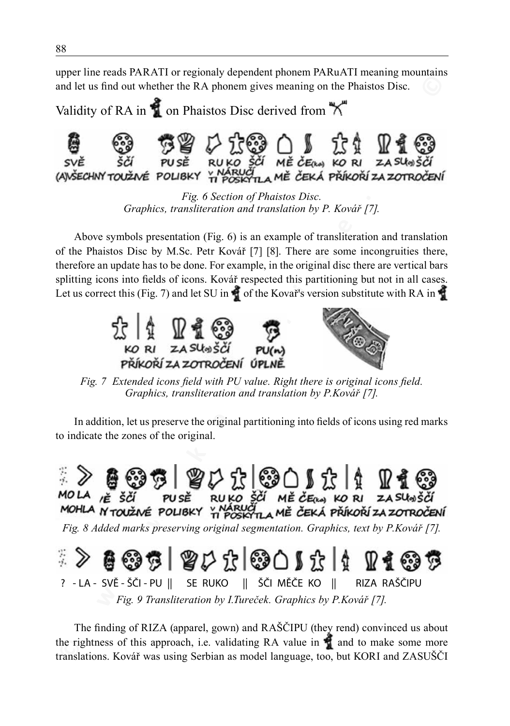upper line reads PARATI or regionaly dependent phonem PARuATI meaning mountains and let us find out whether the RA phonem gives meaning on the Phaistos Disc.

Validity of RA in  $\bigcirc$  on Phaistos Disc derived from  $\bigcirc$ 



*Fig. 6 Section of Phaistos Disc. Graphics, transliteration and translation by P. Kovář [7].*

Above symbols presentation (Fig. 6) is an example of transliteration and translation of the Phaistos Disc by M.Sc. Petr Kovář [7] [8]. There are some incongruities there, therefore an update has to be done. For example, in the original disc there are vertical bars splitting icons into fields of icons. Kovář respected this partitioning but not in all cases. Let us correct this (Fig. 7) and let SU in  $\bullet$  of the Kovař's version substitute with RA in  $\bullet$ 



*Fig. 7 Extended icons field with PU value. Right there is original icons field. Graphics, transliteration and translation by P.Kovář [7].*

In addition, let us preserve the original partitioning into fields of icons using red marks to indicate the zones of the original.



*Fig. 9 Transliteration by I.Tureček. Graphics by P.Kovář [7].*

The finding of RIZA (apparel, gown) and RAŠČIPU (they rend) convinced us about the rightness of this approach, i.e. validating RA value in  $\bullet$  and to make some more translations. Kovář was using Serbian as model language, too, but KORI and ZASUŠČI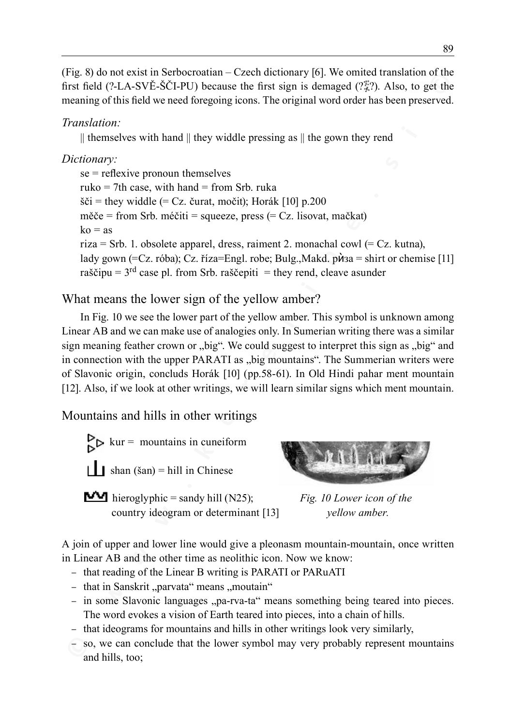(Fig. 8) do not exist in Serbocroatian – Czech dictionary [6]. We omited translation of the first field (?-LA-SVĚ-ŠČI-PU) because the first sign is demaged (? $\frac{25}{3}$ ?). Also, to get the meaning of this field we need foregoing icons. The original word order has been preserved.

## *Translation:*

 $\parallel$  themselves with hand  $\parallel$  they widdle pressing as  $\parallel$  the gown they rend

## *Dictionary:*

**© w w w . k o r e n i n e . s i ©** se = reflexive pronoun themselves  $ruko = 7th case$ , with hand = from Srb. ruka šči = they widdle (= Cz. čurat, močit); Horák [10] p.200  $m\check{e}$ če = from Srb. méčiti = squeeze, press (= Cz. lisovat, mačkat)  $k_0 = as$ riza = Srb. 1. obsolete apparel, dress, raiment 2. monachal cowl (=  $Cz$ . kutna), lady gown (=Cz. róba); Cz. říza=Engl. robe; Bulg.,Makd. рѝза = shirt or chemise [11] raščipu =  $3<sup>rd</sup>$  case pl. from Srb. raščepiti = they rend, cleave asunder

What means the lower sign of the yellow amber?

In Fig. 10 we see the lower part of the yellow amber. This symbol is unknown among Linear AB and we can make use of analogies only. In Sumerian writing there was a similar sign meaning feather crown or "big". We could suggest to interpret this sign as "big" and in connection with the upper PARATI as "big mountains". The Summerian writers were of Slavonic origin, concluds Horák [10] (pp.58-61). In Old Hindi pahar ment mountain [12]. Also, if we look at other writings, we will learn similar signs which ment mountain.

Mountains and hills in other writings

 $\sum_{k=1}^{\infty} k^k$  kur = mountains in cuneiform  $\parallel$  **I** shan (šan) = hill in Chinese

 hieroglyphic = sandy hill (N25); *Fig. 10 Lower icon of the* country ideogram or determinant [13] *yellow amber.*



A join of upper and lower line would give a pleonasm mountain-mountain, once written in Linear AB and the other time as neolithic icon. Now we know:

- that reading of the Linear B writing is PARATI or PARuATI
- that in Sanskrit "parvata" means "moutain"
- in some Slavonic languages "pa-rva-ta" means something being teared into pieces. The word evokes a vision of Earth teared into pieces, into a chain of hills.
- that ideograms for mountains and hills in other writings look very similarly,
- so, we can conclude that the lower symbol may very probably represent mountains and hills, too;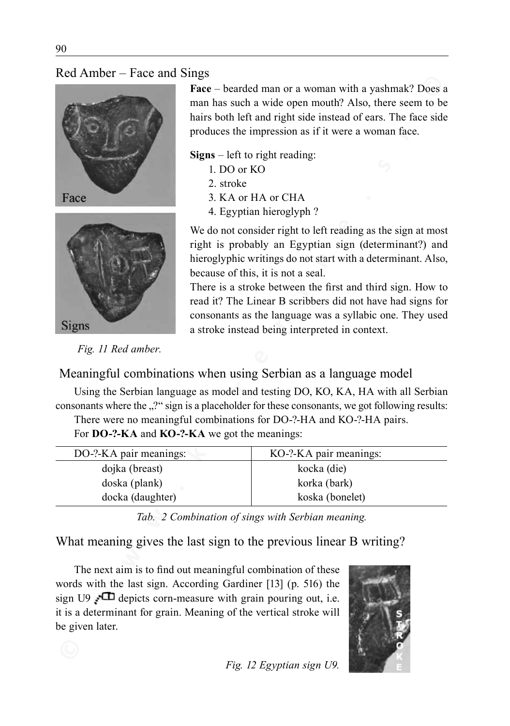



- 1. DO or KO
- 2. stroke
- 3. KA or HA or CHA
- 4. Egyptian hieroglyph ?

| <b>ING 7 MHOOT</b><br>$\frac{1}{2}$ acc and $\frac{1}{2}$                                                                                                                                                                                                                                                                                                                      |                                                                                                                                                                                                                                                                                                                                                                                                                                                                                                                                                                                                                                                                                                                                                                                                                                          |                                                   |  |
|--------------------------------------------------------------------------------------------------------------------------------------------------------------------------------------------------------------------------------------------------------------------------------------------------------------------------------------------------------------------------------|------------------------------------------------------------------------------------------------------------------------------------------------------------------------------------------------------------------------------------------------------------------------------------------------------------------------------------------------------------------------------------------------------------------------------------------------------------------------------------------------------------------------------------------------------------------------------------------------------------------------------------------------------------------------------------------------------------------------------------------------------------------------------------------------------------------------------------------|---------------------------------------------------|--|
| Face<br><b>Signs</b>                                                                                                                                                                                                                                                                                                                                                           | <b>Face</b> – bearded man or a woman with a yashmak? Does a<br>man has such a wide open mouth? Also, there seem to be<br>hairs both left and right side instead of ears. The face side<br>produces the impression as if it were a woman face.<br>$Signs$ – left to right reading:<br>1. DO or KO<br>2. stroke<br>3. KA or HA or CHA<br>4. Egyptian hieroglyph ?<br>We do not consider right to left reading as the sign at most<br>right is probably an Egyptian sign (determinant?) and<br>hieroglyphic writings do not start with a determinant. Also,<br>because of this, it is not a seal.<br>There is a stroke between the first and third sign. How to<br>read it? The Linear B scribbers did not have had signs for<br>consonants as the language was a syllabic one. They used<br>a stroke instead being interpreted in context. |                                                   |  |
| Fig. 11 Red amber.                                                                                                                                                                                                                                                                                                                                                             |                                                                                                                                                                                                                                                                                                                                                                                                                                                                                                                                                                                                                                                                                                                                                                                                                                          |                                                   |  |
| Meaningful combinations when using Serbian as a language model                                                                                                                                                                                                                                                                                                                 |                                                                                                                                                                                                                                                                                                                                                                                                                                                                                                                                                                                                                                                                                                                                                                                                                                          |                                                   |  |
| Using the Serbian language as model and testing DO, KO, KA, HA with all Serbian<br>consonants where the "?" sign is a placeholder for these consonants, we got following results:<br>There were no meaningful combinations for DO-?-HA and KO-?-HA pairs.<br>For DO-?-KA and KO-?-KA we got the meanings:                                                                      |                                                                                                                                                                                                                                                                                                                                                                                                                                                                                                                                                                                                                                                                                                                                                                                                                                          |                                                   |  |
| DO-?-KA pair meanings:                                                                                                                                                                                                                                                                                                                                                         |                                                                                                                                                                                                                                                                                                                                                                                                                                                                                                                                                                                                                                                                                                                                                                                                                                          | KO-?-KA pair meanings:                            |  |
| dojka (breast)                                                                                                                                                                                                                                                                                                                                                                 |                                                                                                                                                                                                                                                                                                                                                                                                                                                                                                                                                                                                                                                                                                                                                                                                                                          | kocka (die)                                       |  |
| doska (plank)                                                                                                                                                                                                                                                                                                                                                                  |                                                                                                                                                                                                                                                                                                                                                                                                                                                                                                                                                                                                                                                                                                                                                                                                                                          | korka (bark)                                      |  |
| docka (daughter)                                                                                                                                                                                                                                                                                                                                                               |                                                                                                                                                                                                                                                                                                                                                                                                                                                                                                                                                                                                                                                                                                                                                                                                                                          | koska (bonelet)                                   |  |
|                                                                                                                                                                                                                                                                                                                                                                                |                                                                                                                                                                                                                                                                                                                                                                                                                                                                                                                                                                                                                                                                                                                                                                                                                                          | Tab. 2 Combination of sings with Serbian meaning. |  |
| What meaning gives the last sign to the previous linear B writing?<br>The next aim is to find out meaningful combination of these<br>words with the last sign. According Gardiner [13] (p. 516) the<br>sign U9 $\sqrt{\phantom{a}}$ depicts corn-measure with grain pouring out, i.e.<br>it is a determinant for grain. Meaning of the vertical stroke will<br>be given later. |                                                                                                                                                                                                                                                                                                                                                                                                                                                                                                                                                                                                                                                                                                                                                                                                                                          |                                                   |  |
|                                                                                                                                                                                                                                                                                                                                                                                |                                                                                                                                                                                                                                                                                                                                                                                                                                                                                                                                                                                                                                                                                                                                                                                                                                          |                                                   |  |

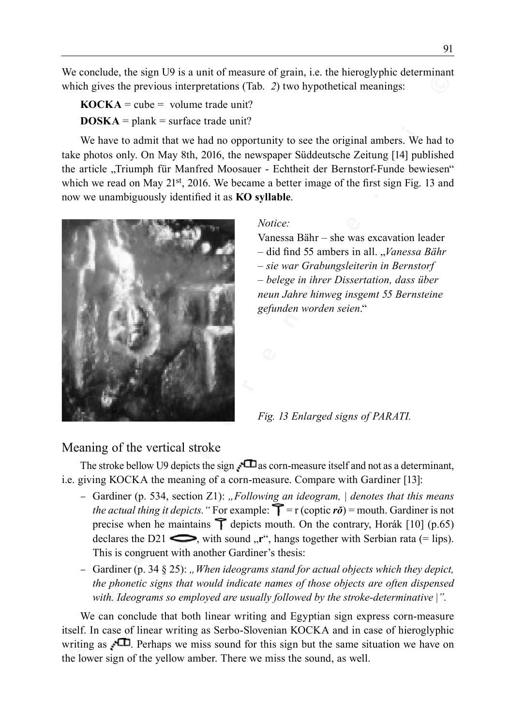We conclude, the sign U9 is a unit of measure of grain, i.e. the hieroglyphic determinant which gives the previous interpretations (Tab. 2) two hypothetical meanings:

 $$  $DOSKA =$  plank = surface trade unit?

We have to admit that we had no opportunity to see the original ambers. We had to take photos only. On May 8th, 2016, the newspaper Süddeutsche Zeitung [14] published the article "Triumph für Manfred Moosauer - Echtheit der Bernstorf-Funde bewiesen" which we read on May 21<sup>st</sup>, 2016. We became a better image of the first sign Fig. 13 and now we unambiguously identified it as **KO syllable**.



#### *Notice:*

Vanessa Bähr – she was excavation leader – did find 55 ambers in all. "*Vanessa Bähr – sie war Grabungsleiterin in Bernstorf – belege in ihrer Dissertation, dass über neun Jahre hinweg insgemt 55 Bernsteine gefunden worden seien*."

*Fig. 13 Enlarged signs of PARATI.*

## Meaning of the vertical stroke

The stroke bellow U9 depicts the sign  $\Box$  as corn-measure itself and not as a determinant, i.e. giving KOCKA the meaning of a corn-measure. Compare with Gardiner [13]:

- Gardiner (p. 534, section Z1): *"Following an ideogram, | denotes that this means the actual thing it depicts.* "For example:  $\Upsilon = r$  (coptic  $\vec{r}$ ) = mouth. Gardiner is not precise when he maintains  $\uparrow$  depicts mouth. On the contrary, Horák [10] (p.65) declares the D21  $\implies$ , with sound  $\pi$ <sup>"</sup>, hangs together with Serbian rata (= lips). This is congruent with another Gardiner's thesis:
- Gardiner (p. 34 § 25): *"When ideograms stand for actual objects which they depict, the phonetic signs that would indicate names of those objects are often dispensed with. Ideograms so employed are usually followed by the stroke-determinative* |*".*

We can conclude that both linear writing and Egyptian sign express corn-measure itself. In case of linear writing as Serbo-Slovenian KOCKA and in case of hieroglyphic writing as  $\Box$  Perhaps we miss sound for this sign but the same situation we have on the lower sign of the yellow amber. There we miss the sound, as well.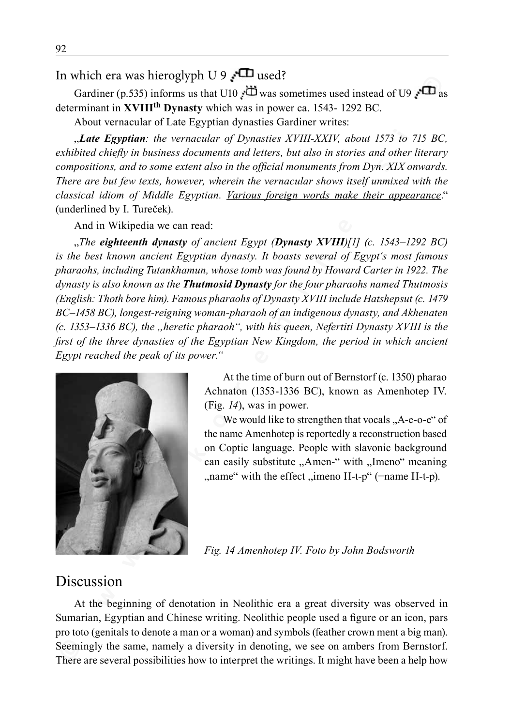# In which era was hieroglyph U 9  $\sqrt{ }$  used?

Gardiner (p.535) informs us that U10  $\overrightarrow{CD}$  was sometimes used instead of U9  $\overrightarrow{CD}$  as determinant in **XVIIIth Dynasty** which was in power ca. 1543- 1292 BC.

About vernacular of Late Egyptian dynasties Gardiner writes:

"*Late Egyptian: the vernacular of Dynasties XVIII-XXIV, about 1573 to 715 BC, exhibited chiefly in business documents and letters, but also in stories and other literary compositions, and to some extent also in the official monuments from Dyn. XIX onwards. There are but few texts, however, wherein the vernacular shows itself unmixed with the classical idiom of Middle Egyptian. Various foreign words make their appearance*." (underlined by I. Tureček).

And in Wikipedia we can read:

**EVALUAT THE SET IN THE CONDUPT TO**  $\theta$  **<b>C EVALUAT THE CONDUPT TO A CONDUPT CONDUPT CONDUPT CONDUPT CONDUPT CONDUPT CONDUPT CONDUPT CONDUPT CONDUPT CONDUPT CONDUPT CONDUPT CONDUPT CONDUPT CONDUPT CONDUPT CONDUPT CONDUPT** "*The eighteenth dynasty of ancient Egypt (Dynasty XVIII)[1] (c. 1543–1292 BC) is the best known ancient Egyptian dynasty. It boasts several of Egypt's most famous pharaohs, including Tutankhamun, whose tomb was found by Howard Carter in 1922. The dynasty is also known as the Thutmosid Dynasty for the four pharaohs named Thutmosis (English: Thoth bore him). Famous pharaohs of Dynasty XVIII include Hatshepsut (c. 1479 BC–1458 BC), longest-reigning woman-pharaoh of an indigenous dynasty, and Akhenaten (c. 1353–1336 BC), the "heretic pharaoh", with his queen, Nefertiti Dynasty XVIII is the first of the three dynasties of the Egyptian New Kingdom, the period in which ancient Egypt reached the peak of its power."* 



At the time of burn out of Bernstorf (c. 1350) pharao Achnaton (1353-1336 BC), known as Amenhotep IV. (Fig. *14*), was in power.

We would like to strengthen that vocals  $,A-e-e$ <sup>"</sup> of the name Amenhotep is reportedly a reconstruction based on Coptic language. People with slavonic background can easily substitute "Amen-" with "Imeno" meaning  $\ldots$  name" with the effect  $\ldots$  imeno H-t-p" (=name H-t-p).

*Fig. 14 Amenhotep IV. Foto by John Bodsworth*

## Discussion

At the beginning of denotation in Neolithic era a great diversity was observed in Sumarian, Egyptian and Chinese writing. Neolithic people used a figure or an icon, pars pro toto (genitals to denote a man or a woman) and symbols (feather crown ment a big man). Seemingly the same, namely a diversity in denoting, we see on ambers from Bernstorf. There are several possibilities how to interpret the writings. It might have been a help how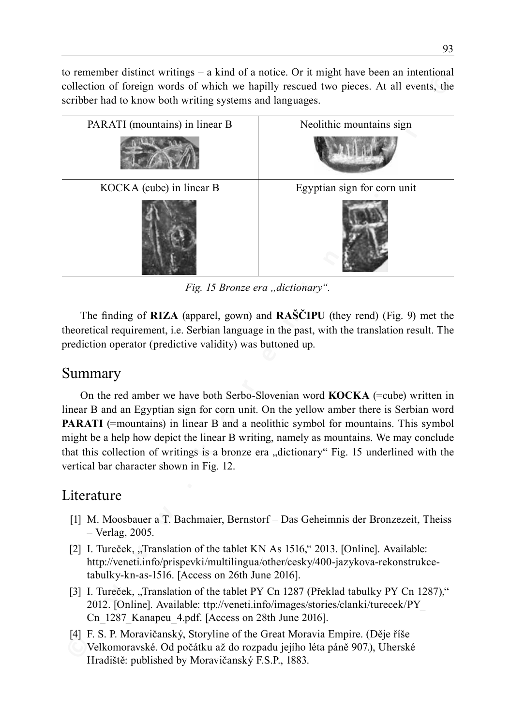to remember distinct writings  $-$  a kind of a notice. Or it might have been an intentional collection of foreign words of which we hapilly rescued two pieces. At all events, the scribber had to know both writing systems and languages.



*Fig. 15 Bronze era "dictionary".*

The finding of **RIZA** (apparel, gown) and **RAŠČIPU** (they rend) (Fig. 9) met the theoretical requirement, i.e. Serbian language in the past, with the translation result. The prediction operator (predictive validity) was buttoned up.

# Summary

On the red amber we have both Serbo-Slovenian word **KOCKA** (=cube) written in linear B and an Egyptian sign for corn unit. On the yellow amber there is Serbian word **PARATI** (=mountains) in linear B and a neolithic symbol for mountains. This symbol might be a help how depict the linear B writing, namely as mountains. We may conclude that this collection of writings is a bronze era "dictionary" Fig. 15 underlined with the vertical bar character shown in Fig. 12.

# Literature

- [1] M. Moosbauer a T. Bachmaier, Bernstorf Das Geheimnis der Bronzezeit, Theiss – Verlag, 2005.
- [2] I. Tureček, "Translation of the tablet KN As  $1516$ ," 2013. [Online]. Available: http://veneti.info/prispevki/multilingua/other/cesky/400-jazykova-rekonstrukcetabulky-kn-as-1516. [Access on 26th June 2016].
- [3] I. Tureček, "Translation of the tablet PY Cn 1287 (Překlad tabulky PY Cn 1287)," 2012. [Online]. Available: ttp://veneti.info/images/stories/clanki/turecek/PY\_ Cn 1287 Kanapeu 4.pdf. [Access on 28th June 2016].
- [4] F. S. P. Moravičanský, Storyline of the Great Moravia Empire. (Děje říše Velkomoravské. Od počátku až do rozpadu jejího léta páně 907.), Uherské Hradiště: published by Moravičanský F.S.P., 1883.